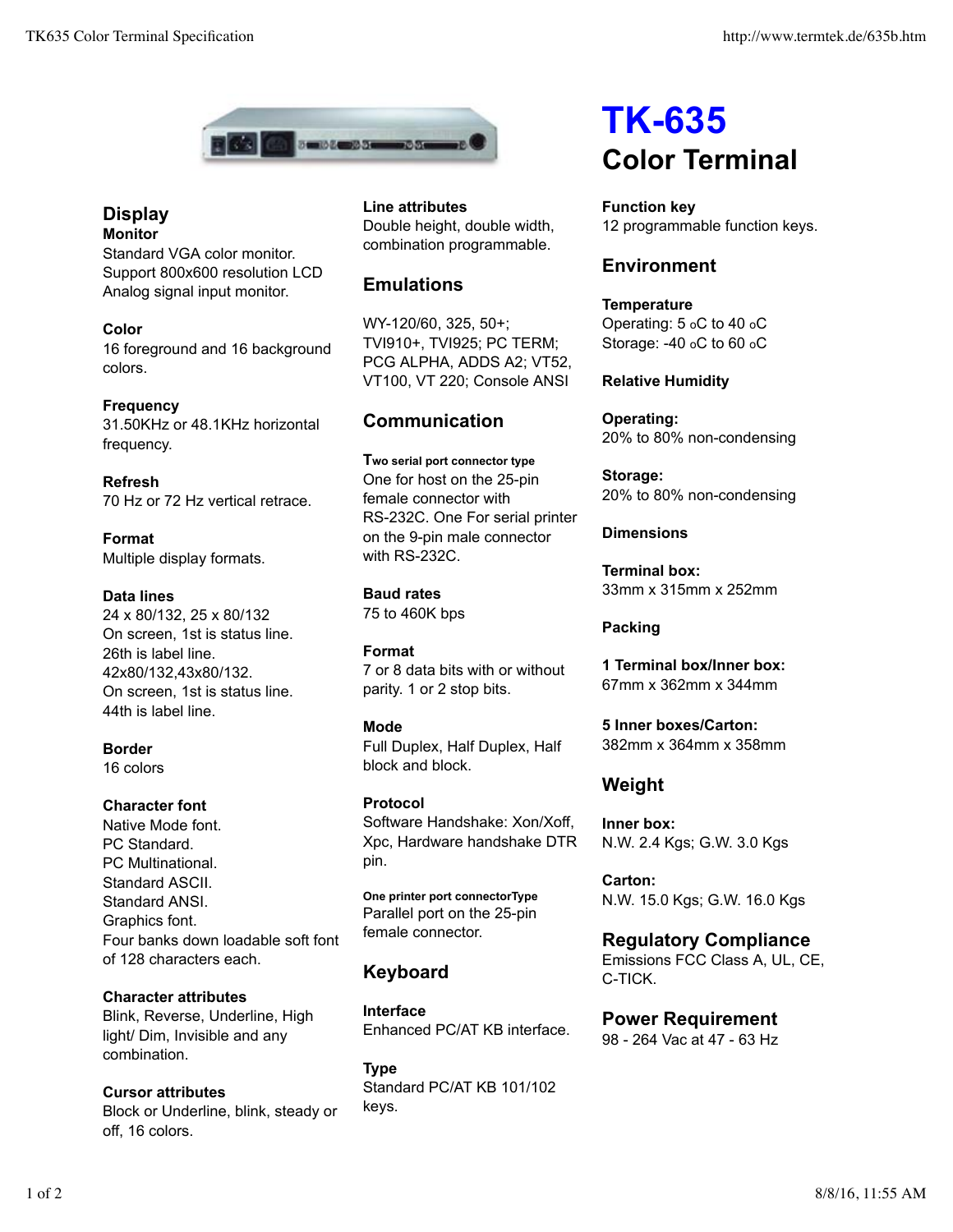

## **Display Monitor**

Standard VGA color monitor. Support 800x600 resolution LCD Analog signal input monitor.

**Color** 16 foreground and 16 background colors.

**Frequency** 31.50KHz or 48.1KHz horizontal frequency.

**Refresh** 70 Hz or 72 Hz vertical retrace.

**Format** Multiple display formats.

#### **Data lines**

24 x 80/132, 25 x 80/132 On screen, 1st is status line. 26th is label line. 42x80/132,43x80/132. On screen, 1st is status line. 44th is label line.

**Border** 16 colors

## **Character font**

Native Mode font. PC Standard. PC Multinational. Standard ASCII. Standard ANSI. Graphics font. Four banks down loadable soft font of 128 characters each.

**Character attributes** Blink, Reverse, Underline, High light/ Dim, Invisible and any combination.

**Cursor attributes** Block or Underline, blink, steady or off, 16 colors.

**Line attributes** Double height, double width, combination programmable.

# **Emulations**

WY-120/60, 325, 50+; TVI910+, TVI925; PC TERM; PCG ALPHA, ADDS A2; VT52, VT100, VT 220; Console ANSI

# **Communication**

**Two serial port connector type** One for host on the 25-pin female connector with RS-232C. One For serial printer on the 9-pin male connector with RS-232C.

**Baud rates** 75 to 460K bps

**Format** 7 or 8 data bits with or without parity. 1 or 2 stop bits.

## **Mode**

Full Duplex, Half Duplex, Half block and block.

**Protocol** Software Handshake: Xon/Xoff, Xpc, Hardware handshake DTR pin.

**One printer port connectorType** Parallel port on the 25-pin female connector.

# **Keyboard**

**Interface** Enhanced PC/AT KB interface.

**Type** Standard PC/AT KB 101/102 keys.

# **TK-635 Color Terminal**

**Function key** 12 programmable function keys.

# **Environment**

**Temperature** Operating: 5 oC to 40 oC Storage: -40 oC to 60 oC

## **Relative Humidity**

**Operating:** 20% to 80% non-condensing

**Storage:** 20% to 80% non-condensing

## **Dimensions**

**Terminal box:** 33mm x 315mm x 252mm

## **Packing**

**1 Terminal box/Inner box:** 67mm x 362mm x 344mm

**5 Inner boxes/Carton:** 382mm x 364mm x 358mm

# **Weight**

**Inner box:** N.W. 2.4 Kgs; G.W. 3.0 Kgs

**Carton:** N.W. 15.0 Kgs; G.W. 16.0 Kgs

**Regulatory Compliance** Emissions FCC Class A, UL, CE, C-TICK.

**Power Requirement** 98 - 264 Vac at 47 - 63 Hz